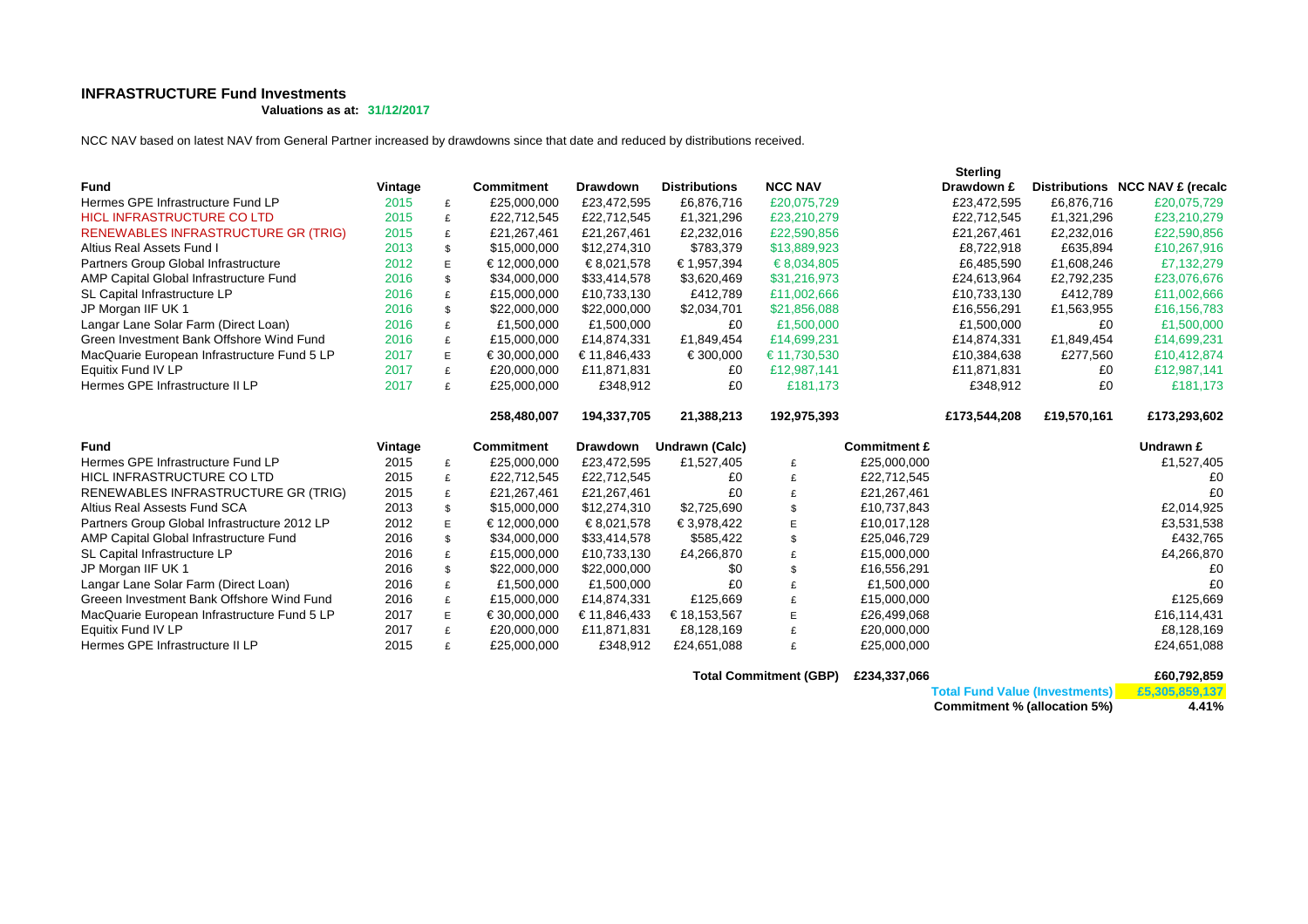## **INFRASTRUCTURE Fund Investments**

**Valuations as at: 31/12/2017**

NCC NAV based on latest NAV from General Partner increased by drawdowns since that date and reduced by distributions received.

|                                                       |              |        |                            |                         |                           |                |                            | <b>Sterling</b> |             |                                 |
|-------------------------------------------------------|--------------|--------|----------------------------|-------------------------|---------------------------|----------------|----------------------------|-----------------|-------------|---------------------------------|
| <b>Fund</b>                                           | Vintage      |        | <b>Commitment</b>          | <b>Drawdown</b>         | <b>Distributions</b>      | <b>NCC NAV</b> |                            | Drawdown £      |             | Distributions NCC NAV £ (recalc |
| Hermes GPE Infrastructure Fund LP                     | 2015         | £      | £25,000,000                | £23,472,595             | £6,876,716                | £20,075,729    |                            | £23,472,595     | £6,876,716  | £20,075,729                     |
| <b>HICL INFRASTRUCTURE CO LTD</b>                     | 2015         | £      | £22,712,545                | £22,712,545             | £1,321,296                | £23,210,279    |                            | £22,712,545     | £1,321,296  | £23,210,279                     |
| <b>RENEWABLES INFRASTRUCTURE GR (TRIG)</b>            | 2015         | £      | £21,267,461                | £21,267,461             | £2,232,016                | £22,590,856    |                            | £21,267,461     | £2,232,016  | £22,590,856                     |
| Altius Real Assets Fund I                             | 2013         | \$     | \$15,000,000               | \$12,274,310            | \$783,379                 | \$13,889,923   |                            | £8,722,918      | £635.894    | £10,267,916                     |
| Partners Group Global Infrastructure                  | 2012         | E      | € 12,000,000               | € 8,021,578             | € 1,957,394               | € 8,034,805    |                            | £6,485,590      | £1,608,246  | £7,132,279                      |
| AMP Capital Global Infrastructure Fund                | 2016         | \$     | \$34,000,000               | \$33,414,578            | \$3,620,469               | \$31,216,973   |                            | £24,613,964     | £2,792,235  | £23,076,676                     |
| SL Capital Infrastructure LP                          | 2016         | £      | £15,000,000                | £10,733,130             | £412,789                  | £11,002,666    |                            | £10,733,130     | £412,789    | £11,002,666                     |
| JP Morgan IIF UK 1                                    | 2016         | \$     | \$22,000,000               | \$22,000,000            | \$2,034,701               | \$21,856,088   |                            | £16,556,291     | £1,563,955  | £16,156,783                     |
| Langar Lane Solar Farm (Direct Loan)                  | 2016         | £      | £1,500,000                 | £1,500,000              | £0                        | £1,500,000     |                            | £1,500,000      | £0          | £1,500,000                      |
| Green Investment Bank Offshore Wind Fund              | 2016         | £      | £15,000,000                | £14,874,331             | £1,849,454                | £14,699,231    |                            | £14,874,331     | £1,849,454  | £14,699,231                     |
| MacQuarie European Infrastructure Fund 5 LP           | 2017         | E      | € 30,000,000               | € 11,846,433            | € 300,000                 | € 11,730,530   |                            | £10,384,638     | £277,560    | £10,412,874                     |
| Equitix Fund IV LP                                    | 2017         | £      | £20,000,000                | £11,871,831             | £0                        | £12,987,141    |                            | £11,871,831     | £0          | £12,987,141                     |
| Hermes GPE Infrastructure II LP                       | 2017         | £      | £25,000,000                | £348,912                | £0                        | £181,173       |                            | £348,912        | £0          | £181,173                        |
|                                                       |              |        | 258,480,007                | 194,337,705             | 21,388,213                | 192,975,393    |                            | £173,544,208    | £19,570,161 | £173,293,602                    |
|                                                       |              |        |                            |                         |                           |                |                            |                 |             |                                 |
|                                                       |              |        |                            |                         |                           |                |                            |                 |             |                                 |
| <b>Fund</b>                                           | Vintage      |        | <b>Commitment</b>          | Drawdown                | Undrawn (Calc)            |                | <b>Commitment £</b>        |                 |             | Undrawn £                       |
| Hermes GPE Infrastructure Fund LP                     | 2015         | £      | £25,000,000                | £23,472,595             | £1,527,405                | £              | £25,000,000                |                 |             | £1,527,405                      |
| HICL INFRASTRUCTURE CO LTD                            | 2015         | £      | £22,712,545                | £22,712,545             | £0                        | £              | £22,712,545                |                 |             | £0                              |
| RENEWABLES INFRASTRUCTURE GR (TRIG)                   | 2015         | £      | £21,267,461                | £21,267,461             | £0                        | £              | £21,267,461                |                 |             | £0                              |
| Altius Real Assests Fund SCA                          | 2013         | \$     | \$15,000,000               | \$12,274,310            | \$2,725,690               | \$             | £10,737,843                |                 |             | £2,014,925                      |
| Partners Group Global Infrastructure 2012 LP          | 2012         | E      | € 12,000,000               | € 8,021,578             | € 3,978,422               | E              | £10,017,128                |                 |             | £3,531,538                      |
| AMP Capital Global Infrastructure Fund                | 2016         | \$     | \$34,000,000               | \$33,414,578            | \$585,422                 | \$             | £25,046,729                |                 |             | £432,765                        |
| SL Capital Infrastructure LP                          | 2016         | £      | £15,000,000                | £10,733,130             | £4,266,870                | £              | £15,000,000                |                 |             | £4,266,870                      |
| JP Morgan IIF UK 1                                    | 2016         | \$     | \$22,000,000               | \$22,000,000            | \$0                       | \$             | £16,556,291                |                 |             | £0                              |
| Langar Lane Solar Farm (Direct Loan)                  | 2016         | £      | £1,500,000                 | £1,500,000              | £0                        | £              | £1,500,000                 |                 |             | £0                              |
| Greeen Investment Bank Offshore Wind Fund             | 2016         | £      | £15,000,000                | £14,874,331             | £125,669                  | £              | £15,000,000                |                 |             | £125,669                        |
| MacQuarie European Infrastructure Fund 5 LP           | 2017         | E.     | € 30,000,000               | € 11,846,433            | € 18,153,567              | E              | £26,499,068                |                 |             | £16,114,431                     |
| Equitix Fund IV LP<br>Hermes GPE Infrastructure II LP | 2017<br>2015 | £<br>£ | £20,000,000<br>£25,000,000 | £11,871,831<br>£348,912 | £8,128,169<br>£24,651,088 | £<br>£         | £20,000,000<br>£25,000,000 |                 |             | £8,128,169<br>£24,651,088       |

**Total Commitment (GBP) £234,337,066**

**£60,792,859 Total Fund Value (Investments)**

**£5,305,859,137**

 **4.41%Commitment % (allocation 5%)**